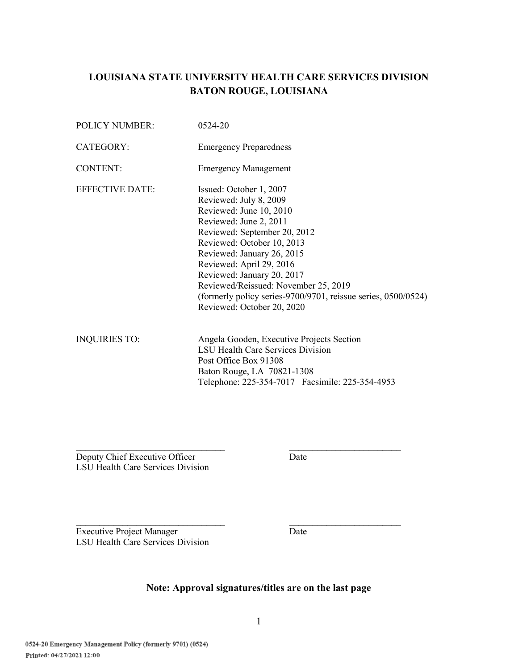# **LOUISIANA STATE UNIVERSITY HEALTH CARE SERVICES DIVISION BATON ROUGE, LOUISIANA**

| POLICY NUMBER:         | 0524-20                                                                                                                                                                                                                                                                                                                                                                                             |
|------------------------|-----------------------------------------------------------------------------------------------------------------------------------------------------------------------------------------------------------------------------------------------------------------------------------------------------------------------------------------------------------------------------------------------------|
| CATEGORY:              | <b>Emergency Preparedness</b>                                                                                                                                                                                                                                                                                                                                                                       |
| <b>CONTENT:</b>        | <b>Emergency Management</b>                                                                                                                                                                                                                                                                                                                                                                         |
| <b>EFFECTIVE DATE:</b> | Issued: October 1, 2007<br>Reviewed: July 8, 2009<br>Reviewed: June 10, 2010<br>Reviewed: June 2, 2011<br>Reviewed: September 20, 2012<br>Reviewed: October 10, 2013<br>Reviewed: January 26, 2015<br>Reviewed: April 29, 2016<br>Reviewed: January 20, 2017<br>Reviewed/Reissued: November 25, 2019<br>(formerly policy series-9700/9701, reissue series, 0500/0524)<br>Reviewed: October 20, 2020 |
| <b>INQUIRIES TO:</b>   | Angela Gooden, Executive Projects Section<br><b>LSU Health Care Services Division</b><br>Post Office Box 91308<br>Baton Rouge, LA 70821-1308<br>Telephone: 225-354-7017  Facsimile: 225-354-4953                                                                                                                                                                                                    |

Deputy Chief Executive Officer Date LSU Health Care Services Division

Executive Project Manager Date LSU Health Care Services Division

# **Note: Approval signatures/titles are on the last page**

 $\mathcal{L}_\text{max}$  and the contract of the contract of the contract of the contract of the contract of the contract of

 $\mathcal{L}_\text{max}$  and the contract of the contract of the contract of the contract of the contract of the contract of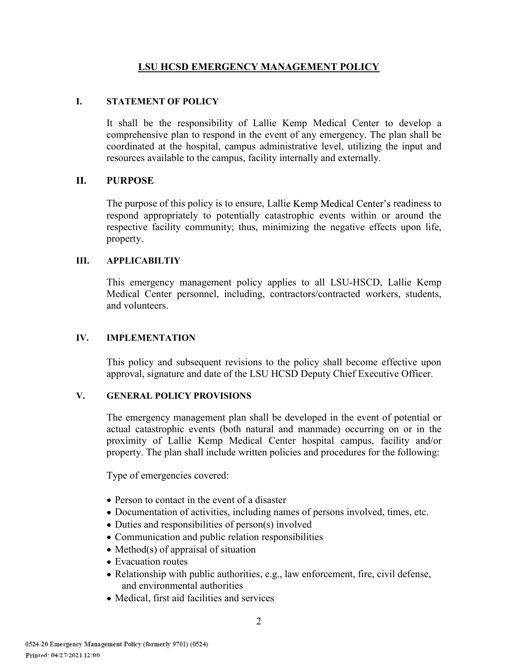### **LSU HCSD EMERGENCY MANAGEMENT POLICY**

#### **I. STATEMENT OF POLICY**

It shall be the responsibility of Lallie Kemp Medical Center to develop a comprehensive plan to respond in the event of any emergency. The plan shall be coordinated at the hospital, campus administrative level, utilizing the input and resources available to the campus, facility internally and externally.

### **II. PURPOSE**

The purpose of this policy is to ensure, Lallie Kemp Medical Center's readiness to respond appropriately to potentially catastrophic events within or around the respective facility community; thus, minimizing the negative effects upon life, property.

### **III. APPLICABILTIY**

This emergency management policy applies to all LSU-HSCD, Lallie Kemp Medical Center personnel, including, contractors/contracted workers, students, and volunteers.

### **IV. IMPLEMENTATION**

This policy and subsequent revisions to the policy shall become effective upon approval, signature and date of the LSU HCSD Deputy Chief Executive Officer.

### **V. GENERAL POLICY PROVISIONS**

The emergency management plan shall be developed in the event of potential or actual catastrophic events (both natural and manmade) occurring on or in the proximity of Lallie Kemp Medical Center hospital campus, facility and/or property. The plan shall include written policies and procedures for the following:

Type of emergencies covered:

- Person to contact in the event of a disaster
- Documentation of activities, including names of persons involved, times, etc.
- Duties and responsibilities of person(s) involved
- Communication and public relation responsibilities
- $\bullet$  Method(s) of appraisal of situation
- Evacuation routes
- Relationship with public authorities, e.g., law enforcement, fire, civil defense, and environmental authorities
- Medical, first aid facilities and services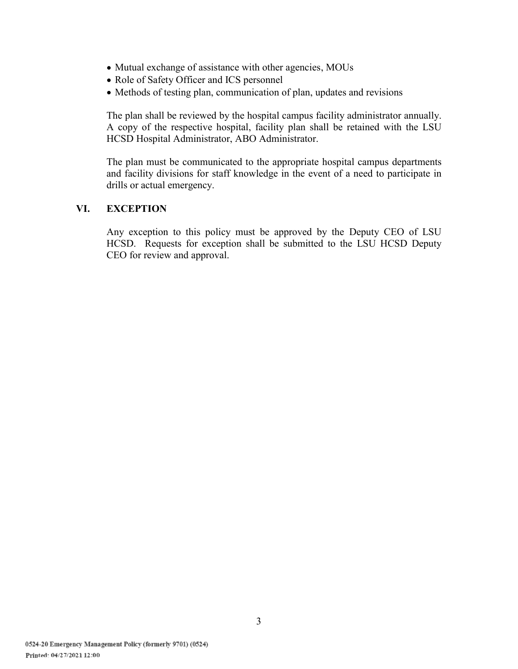- Mutual exchange of assistance with other agencies, MOUs
- Role of Safety Officer and ICS personnel
- Methods of testing plan, communication of plan, updates and revisions

The plan shall be reviewed by the hospital campus facility administrator annually. A copy of the respective hospital, facility plan shall be retained with the LSU HCSD Hospital Administrator, ABO Administrator.

The plan must be communicated to the appropriate hospital campus departments and facility divisions for staff knowledge in the event of a need to participate in drills or actual emergency.

### **VI. EXCEPTION**

Any exception to this policy must be approved by the Deputy CEO of LSU HCSD. Requests for exception shall be submitted to the LSU HCSD Deputy CEO for review and approval.